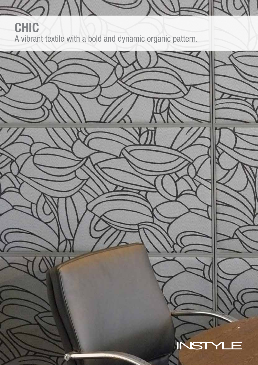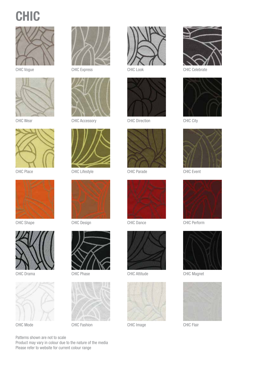





CHIC Wear



CHIC Place



CHIC Shape



CHIC Drama





CHIC Vogue CHIC Express



CHIC Accessory



CHIC Lifestyle



CHIC Design



CHIC Phase



CHIC Mode CHIC Fashion



CHIC Look



CHIC Direction



CHIC Parade



CHIC Dance





CHIC Image CHIC Flair



CHIC Celebrate



CHIC City



CHIC Event



CHIC Perform



CHIC Attitude CHIC Magnet



Patterns shown are not to scale Product may vary in colour due to the nature of the media Please refer to website for current colour range